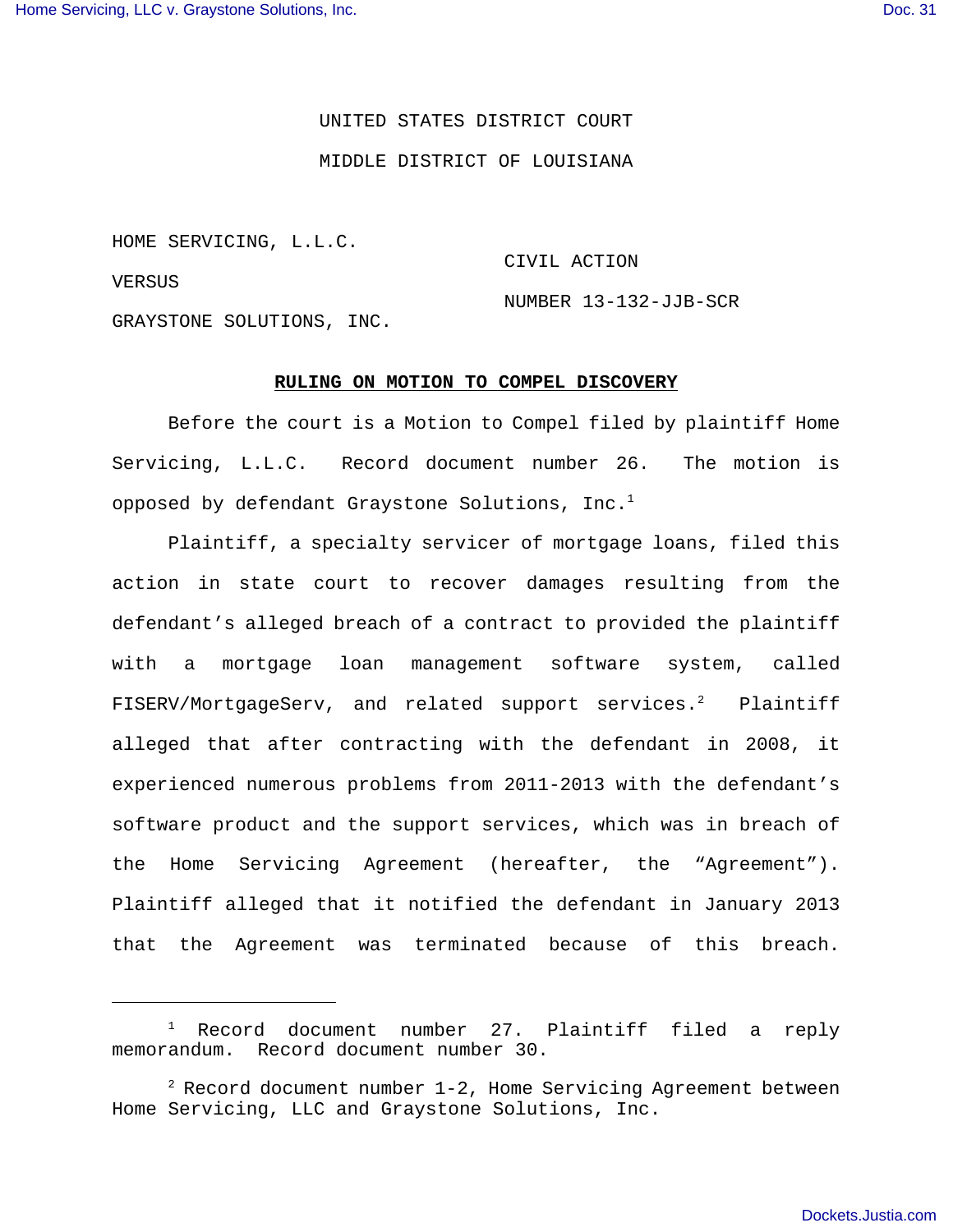## UNITED STATES DISTRICT COURT

#### MIDDLE DISTRICT OF LOUISIANA

HOME SERVICING, L.L.C.

VERSUS

CIVIL ACTION

NUMBER 13-132-JJB-SCR

GRAYSTONE SOLUTIONS, INC.

#### **RULING ON MOTION TO COMPEL DISCOVERY**

Before the court is a Motion to Compel filed by plaintiff Home Servicing, L.L.C. Record document number 26. The motion is opposed by defendant Graystone Solutions, Inc.<sup>1</sup>

Plaintiff, a specialty servicer of mortgage loans, filed this action in state court to recover damages resulting from the defendant's alleged breach of a contract to provided the plaintiff with a mortgage loan management software system, called FISERV/MortgageServ, and related support services.<sup>2</sup> Plaintiff alleged that after contracting with the defendant in 2008, it experienced numerous problems from 2011-2013 with the defendant's software product and the support services, which was in breach of the Home Servicing Agreement (hereafter, the "Agreement"). Plaintiff alleged that it notified the defendant in January 2013 that the Agreement was terminated because of this breach.

 $1$  Record document number 27. Plaintiff filed a reply memorandum. Record document number 30.

 $^2$  Record document number 1-2, Home Servicing Agreement between Home Servicing, LLC and Graystone Solutions, Inc.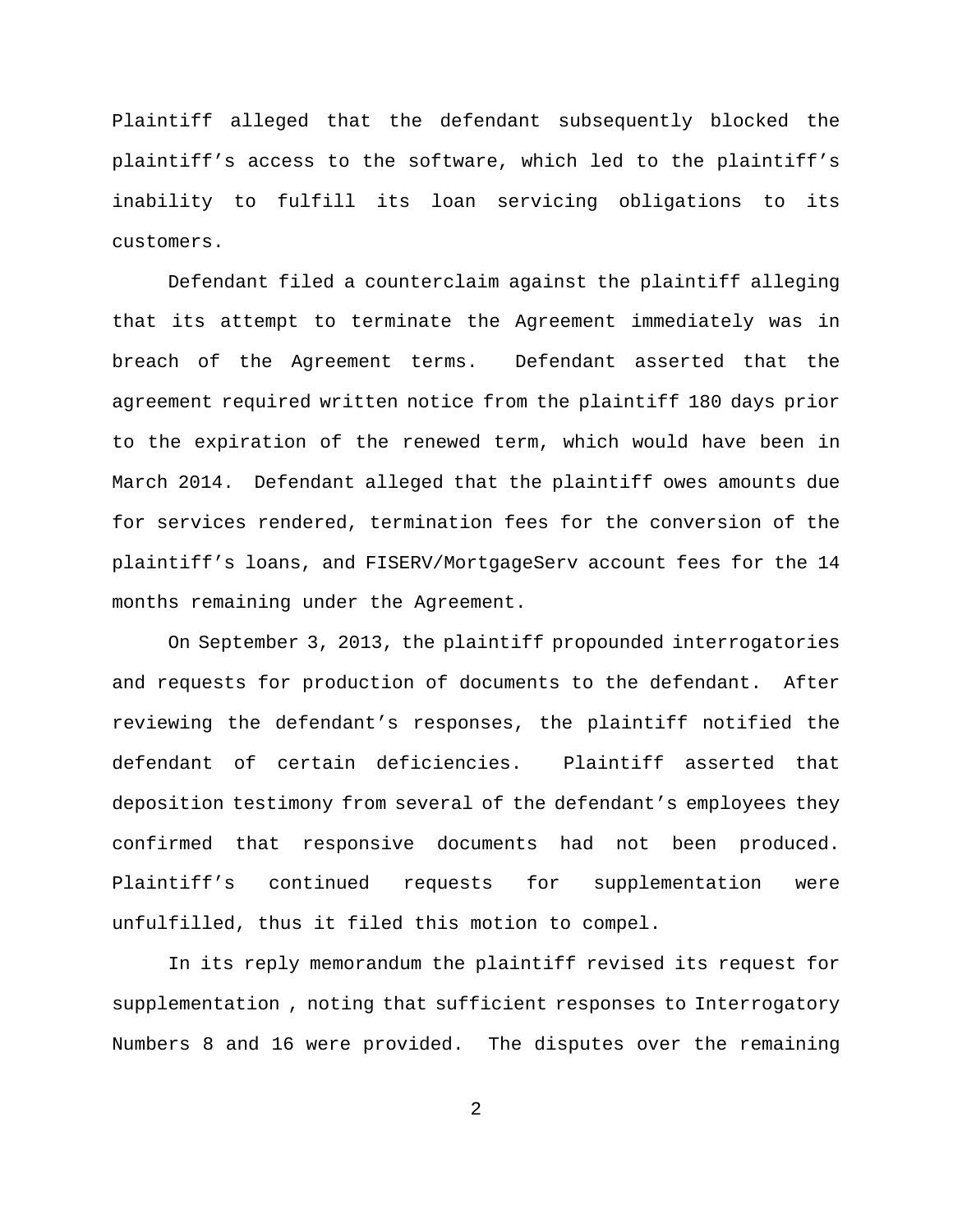Plaintiff alleged that the defendant subsequently blocked the plaintiff's access to the software, which led to the plaintiff's inability to fulfill its loan servicing obligations to its customers.

Defendant filed a counterclaim against the plaintiff alleging that its attempt to terminate the Agreement immediately was in breach of the Agreement terms. Defendant asserted that the agreement required written notice from the plaintiff 180 days prior to the expiration of the renewed term, which would have been in March 2014. Defendant alleged that the plaintiff owes amounts due for services rendered, termination fees for the conversion of the plaintiff's loans, and FISERV/MortgageServ account fees for the 14 months remaining under the Agreement.

On September 3, 2013, the plaintiff propounded interrogatories and requests for production of documents to the defendant. After reviewing the defendant's responses, the plaintiff notified the defendant of certain deficiencies. Plaintiff asserted that deposition testimony from several of the defendant's employees they confirmed that responsive documents had not been produced. Plaintiff's continued requests for supplementation were unfulfilled, thus it filed this motion to compel.

In its reply memorandum the plaintiff revised its request for supplementation , noting that sufficient responses to Interrogatory Numbers 8 and 16 were provided. The disputes over the remaining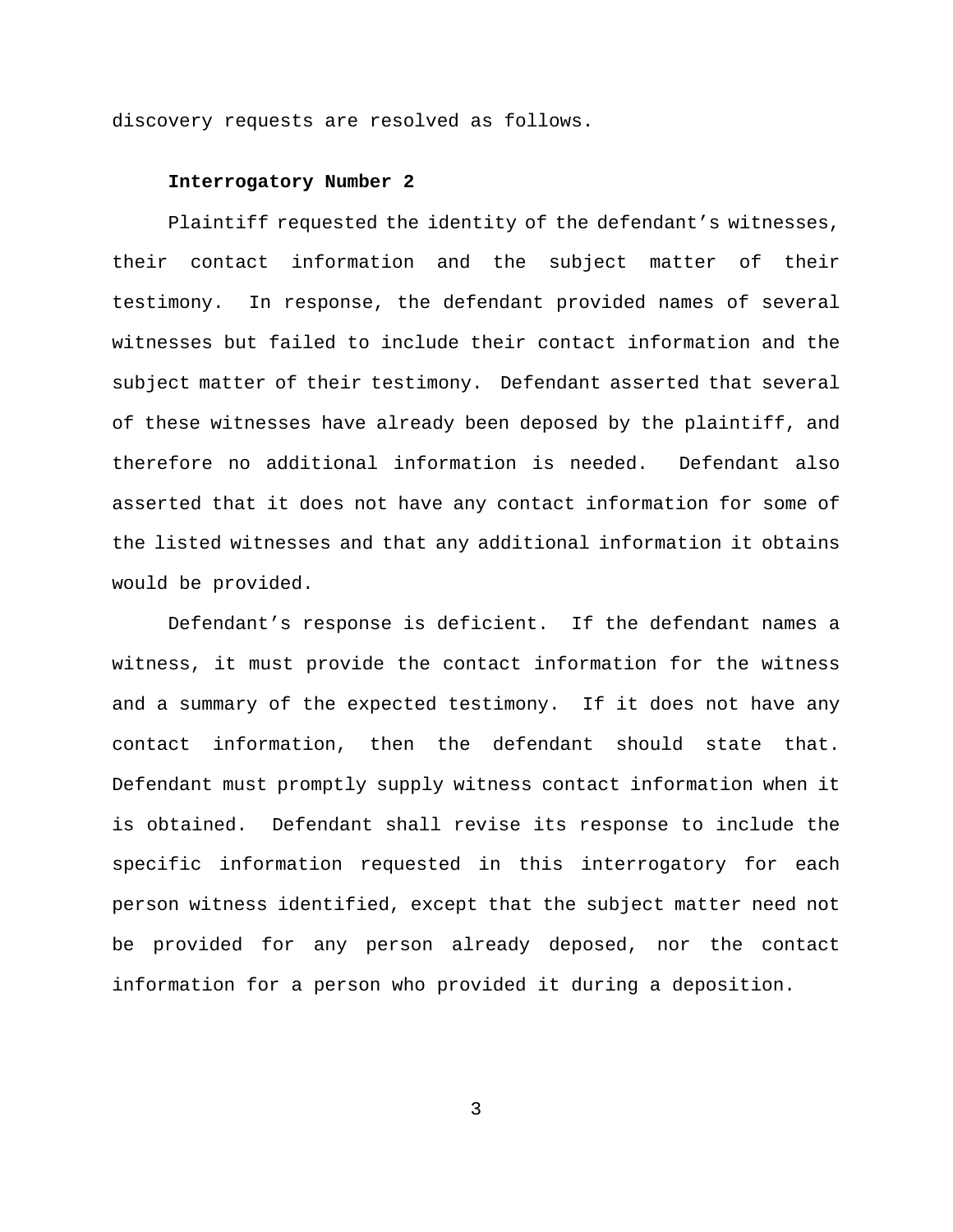discovery requests are resolved as follows.

## **Interrogatory Number 2**

Plaintiff requested the identity of the defendant's witnesses, their contact information and the subject matter of their testimony. In response, the defendant provided names of several witnesses but failed to include their contact information and the subject matter of their testimony. Defendant asserted that several of these witnesses have already been deposed by the plaintiff, and therefore no additional information is needed. Defendant also asserted that it does not have any contact information for some of the listed witnesses and that any additional information it obtains would be provided.

Defendant's response is deficient. If the defendant names a witness, it must provide the contact information for the witness and a summary of the expected testimony. If it does not have any contact information, then the defendant should state that. Defendant must promptly supply witness contact information when it is obtained. Defendant shall revise its response to include the specific information requested in this interrogatory for each person witness identified, except that the subject matter need not be provided for any person already deposed, nor the contact information for a person who provided it during a deposition.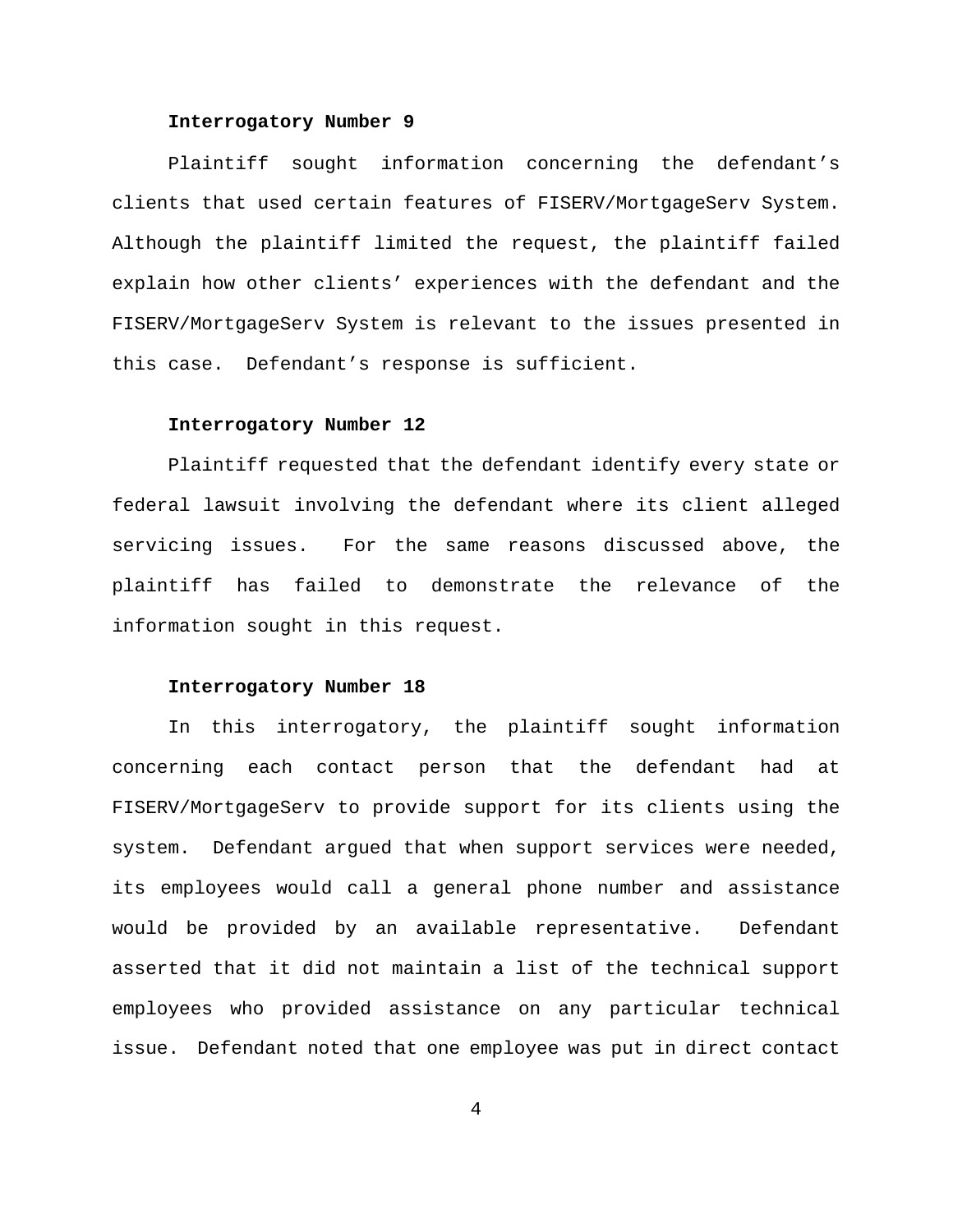# **Interrogatory Number 9**

Plaintiff sought information concerning the defendant's clients that used certain features of FISERV/MortgageServ System. Although the plaintiff limited the request, the plaintiff failed explain how other clients' experiences with the defendant and the FISERV/MortgageServ System is relevant to the issues presented in this case. Defendant's response is sufficient.

### **Interrogatory Number 12**

Plaintiff requested that the defendant identify every state or federal lawsuit involving the defendant where its client alleged servicing issues. For the same reasons discussed above, the plaintiff has failed to demonstrate the relevance of the information sought in this request.

#### **Interrogatory Number 18**

In this interrogatory, the plaintiff sought information concerning each contact person that the defendant had at FISERV/MortgageServ to provide support for its clients using the system. Defendant argued that when support services were needed, its employees would call a general phone number and assistance would be provided by an available representative. Defendant asserted that it did not maintain a list of the technical support employees who provided assistance on any particular technical issue. Defendant noted that one employee was put in direct contact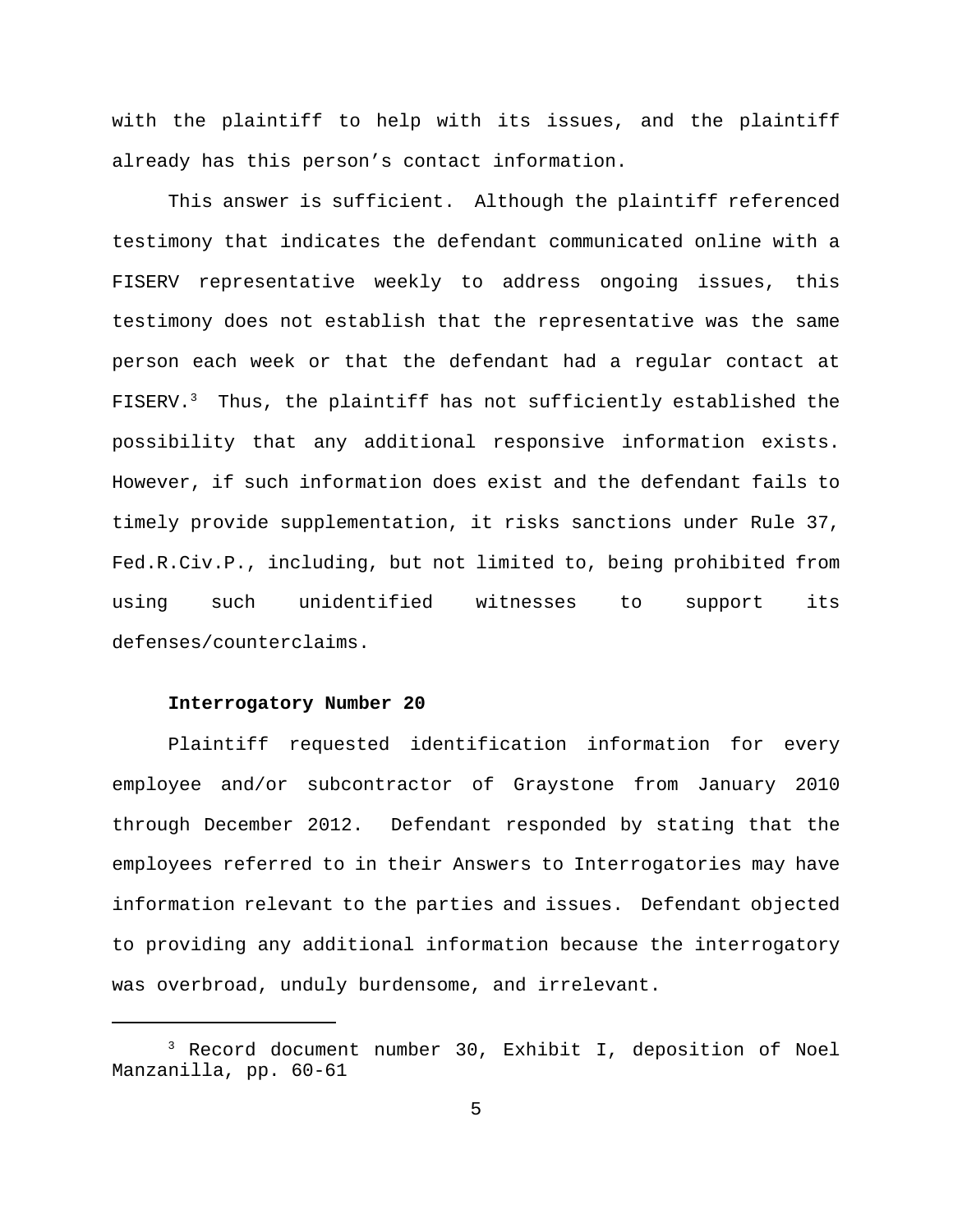with the plaintiff to help with its issues, and the plaintiff already has this person's contact information.

This answer is sufficient. Although the plaintiff referenced testimony that indicates the defendant communicated online with a FISERV representative weekly to address ongoing issues, this testimony does not establish that the representative was the same person each week or that the defendant had a regular contact at FISERV.<sup>3</sup> Thus, the plaintiff has not sufficiently established the possibility that any additional responsive information exists. However, if such information does exist and the defendant fails to timely provide supplementation, it risks sanctions under Rule 37, Fed.R.Civ.P., including, but not limited to, being prohibited from using such unidentified witnesses to support its defenses/counterclaims.

# **Interrogatory Number 20**

Plaintiff requested identification information for every employee and/or subcontractor of Graystone from January 2010 through December 2012. Defendant responded by stating that the employees referred to in their Answers to Interrogatories may have information relevant to the parties and issues. Defendant objected to providing any additional information because the interrogatory was overbroad, unduly burdensome, and irrelevant.

<sup>3</sup> Record document number 30, Exhibit I, deposition of Noel Manzanilla, pp. 60-61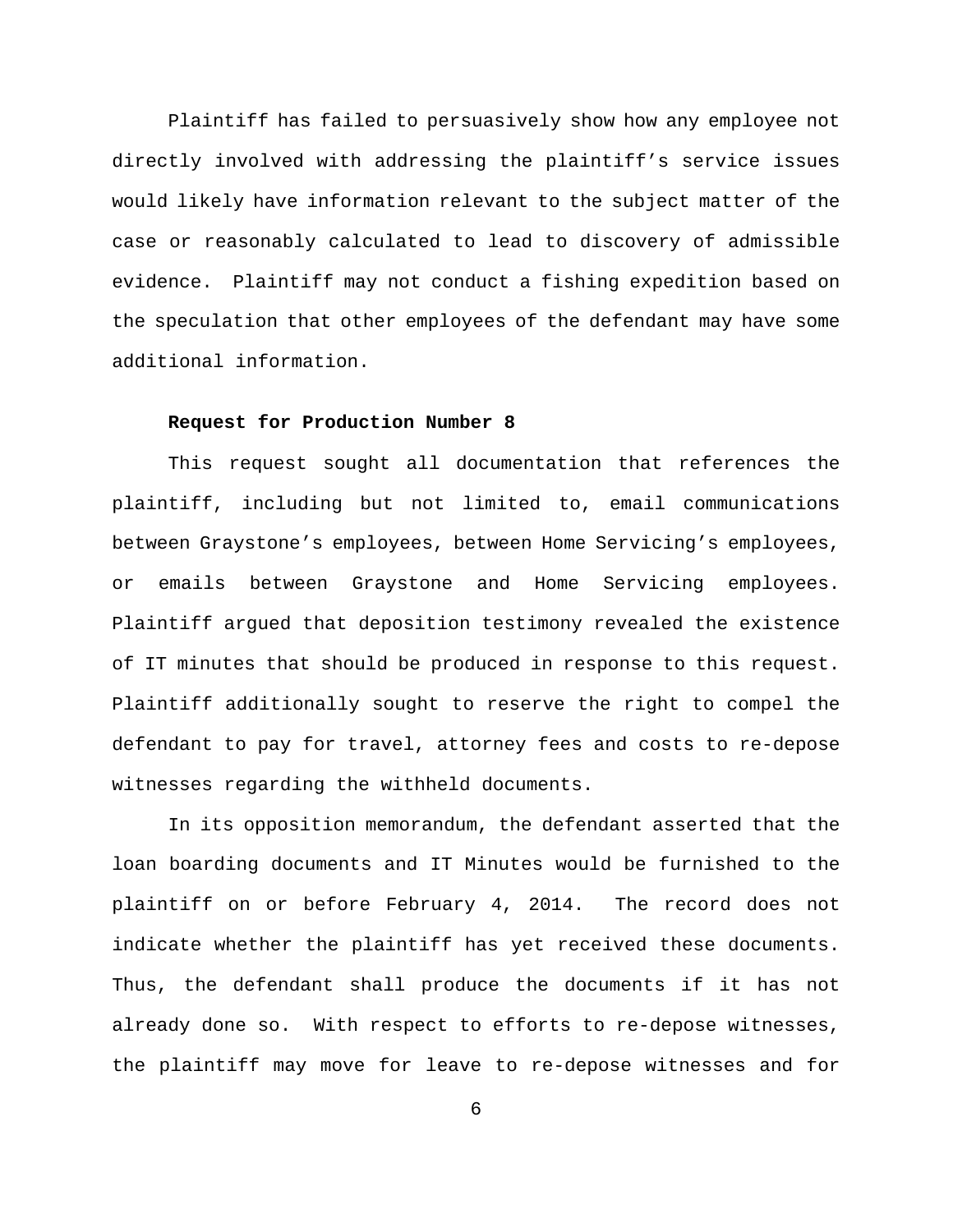Plaintiff has failed to persuasively show how any employee not directly involved with addressing the plaintiff's service issues would likely have information relevant to the subject matter of the case or reasonably calculated to lead to discovery of admissible evidence. Plaintiff may not conduct a fishing expedition based on the speculation that other employees of the defendant may have some additional information.

## **Request for Production Number 8**

This request sought all documentation that references the plaintiff, including but not limited to, email communications between Graystone's employees, between Home Servicing's employees, or emails between Graystone and Home Servicing employees. Plaintiff argued that deposition testimony revealed the existence of IT minutes that should be produced in response to this request. Plaintiff additionally sought to reserve the right to compel the defendant to pay for travel, attorney fees and costs to re-depose witnesses regarding the withheld documents.

In its opposition memorandum, the defendant asserted that the loan boarding documents and IT Minutes would be furnished to the plaintiff on or before February 4, 2014. The record does not indicate whether the plaintiff has yet received these documents. Thus, the defendant shall produce the documents if it has not already done so. With respect to efforts to re-depose witnesses, the plaintiff may move for leave to re-depose witnesses and for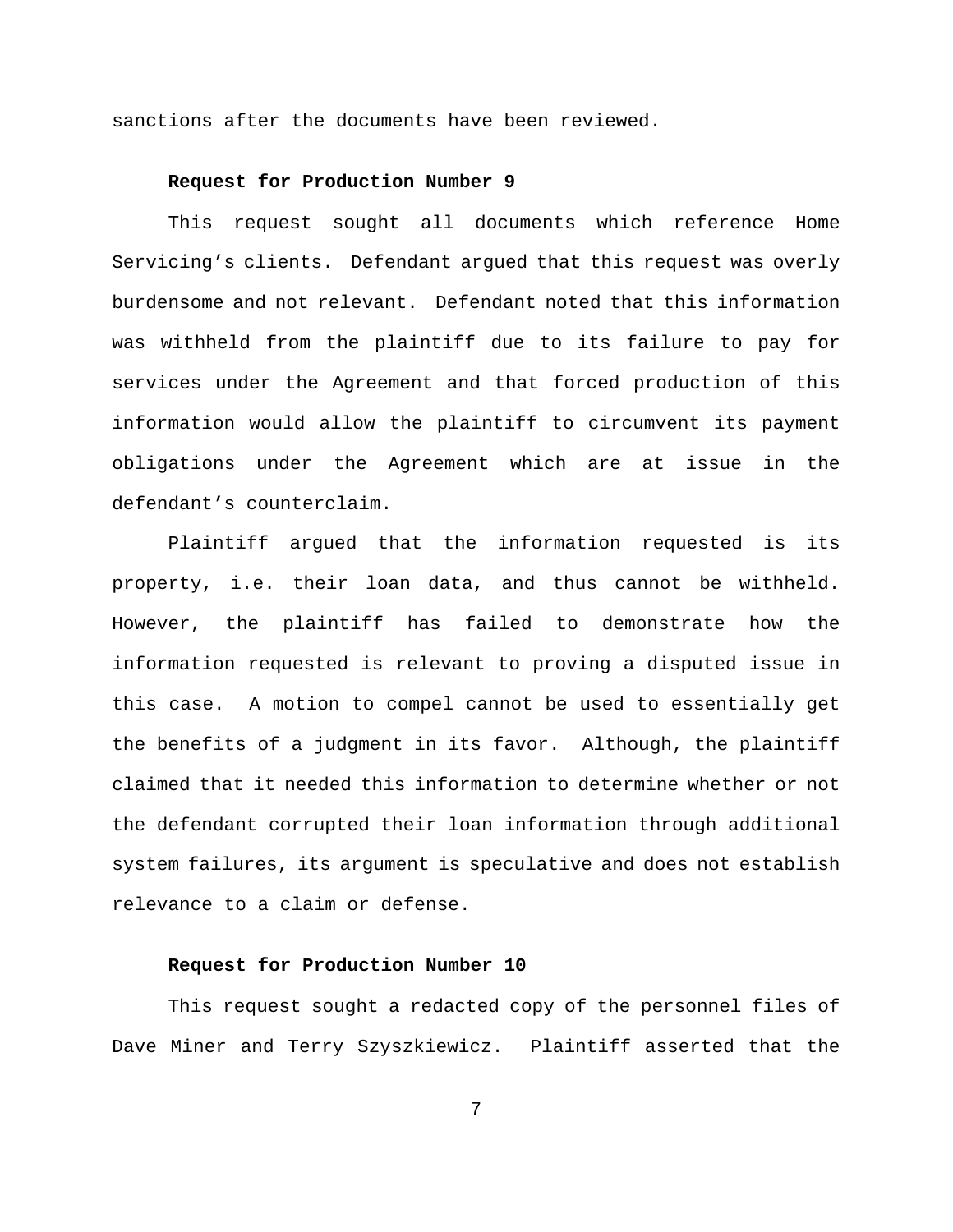sanctions after the documents have been reviewed.

## **Request for Production Number 9**

This request sought all documents which reference Home Servicing's clients. Defendant argued that this request was overly burdensome and not relevant. Defendant noted that this information was withheld from the plaintiff due to its failure to pay for services under the Agreement and that forced production of this information would allow the plaintiff to circumvent its payment obligations under the Agreement which are at issue in the defendant's counterclaim.

Plaintiff argued that the information requested is its property, i.e. their loan data, and thus cannot be withheld. However, the plaintiff has failed to demonstrate how the information requested is relevant to proving a disputed issue in this case. A motion to compel cannot be used to essentially get the benefits of a judgment in its favor. Although, the plaintiff claimed that it needed this information to determine whether or not the defendant corrupted their loan information through additional system failures, its argument is speculative and does not establish relevance to a claim or defense.

# **Request for Production Number 10**

This request sought a redacted copy of the personnel files of Dave Miner and Terry Szyszkiewicz. Plaintiff asserted that the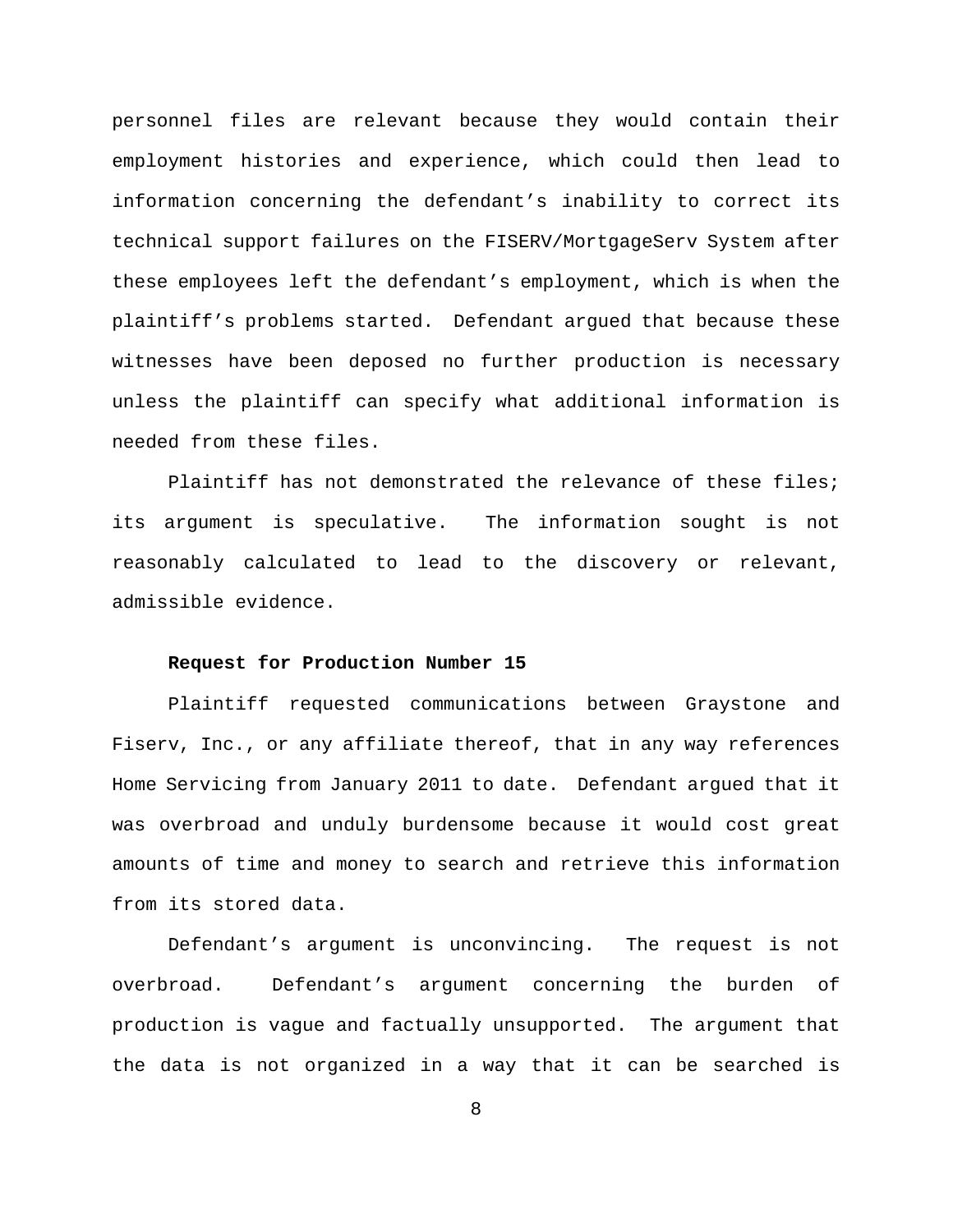personnel files are relevant because they would contain their employment histories and experience, which could then lead to information concerning the defendant's inability to correct its technical support failures on the FISERV/MortgageServ System after these employees left the defendant's employment, which is when the plaintiff's problems started. Defendant argued that because these witnesses have been deposed no further production is necessary unless the plaintiff can specify what additional information is needed from these files.

Plaintiff has not demonstrated the relevance of these files; its argument is speculative. The information sought is not reasonably calculated to lead to the discovery or relevant, admissible evidence.

## **Request for Production Number 15**

Plaintiff requested communications between Graystone and Fiserv, Inc., or any affiliate thereof, that in any way references Home Servicing from January 2011 to date. Defendant argued that it was overbroad and unduly burdensome because it would cost great amounts of time and money to search and retrieve this information from its stored data.

Defendant's argument is unconvincing. The request is not overbroad. Defendant's argument concerning the burden of production is vague and factually unsupported. The argument that the data is not organized in a way that it can be searched is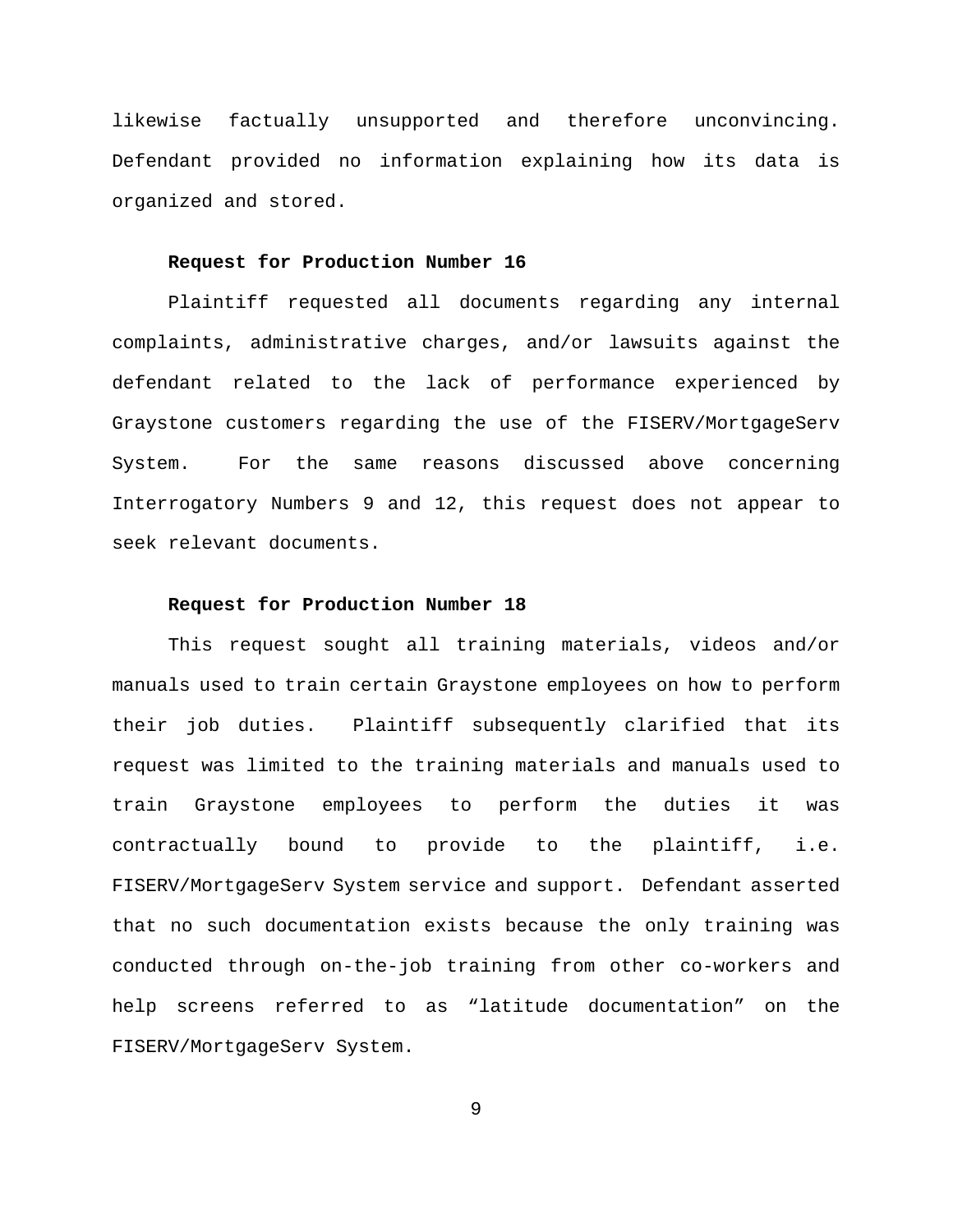likewise factually unsupported and therefore unconvincing. Defendant provided no information explaining how its data is organized and stored.

#### **Request for Production Number 16**

Plaintiff requested all documents regarding any internal complaints, administrative charges, and/or lawsuits against the defendant related to the lack of performance experienced by Graystone customers regarding the use of the FISERV/MortgageServ System. For the same reasons discussed above concerning Interrogatory Numbers 9 and 12, this request does not appear to seek relevant documents.

## **Request for Production Number 18**

This request sought all training materials, videos and/or manuals used to train certain Graystone employees on how to perform their job duties. Plaintiff subsequently clarified that its request was limited to the training materials and manuals used to train Graystone employees to perform the duties it was contractually bound to provide to the plaintiff, i.e. FISERV/MortgageServ System service and support. Defendant asserted that no such documentation exists because the only training was conducted through on-the-job training from other co-workers and help screens referred to as "latitude documentation" on the FISERV/MortgageServ System.